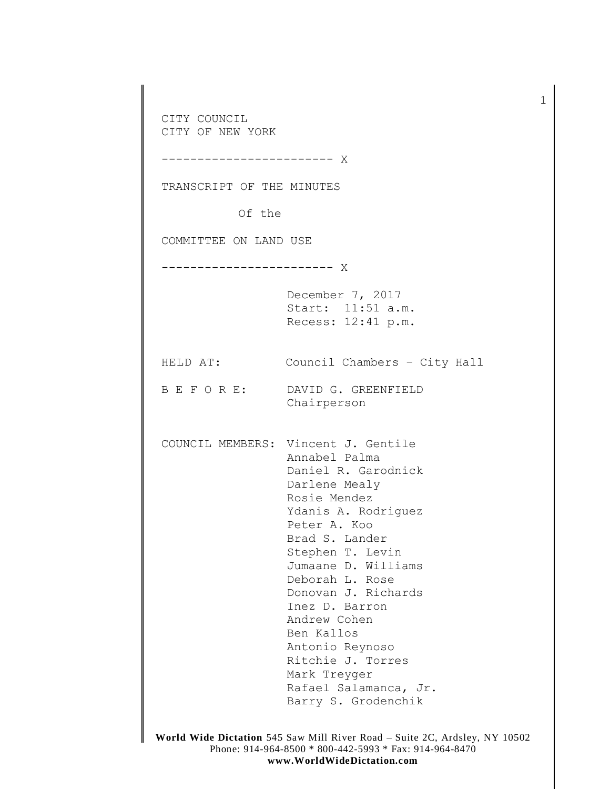**World Wide Dictation** 545 Saw Mill River Road – Suite 2C, Ardsley, NY 10502 CITY COUNCIL CITY OF NEW YORK ------------------------ X TRANSCRIPT OF THE MINUTES Of the COMMITTEE ON LAND USE ------------------------ X December 7, 2017 Start: 11:51 a.m. Recess: 12:41 p.m. HELD AT: Council Chambers – City Hall B E F O R E: DAVID G. GREENFIELD Chairperson COUNCIL MEMBERS: Vincent J. Gentile Annabel Palma Daniel R. Garodnick Darlene Mealy Rosie Mendez Ydanis A. Rodriguez Peter A. Koo Brad S. Lander Stephen T. Levin Jumaane D. Williams Deborah L. Rose Donovan J. Richards Inez D. Barron Andrew Cohen Ben Kallos Antonio Reynoso Ritchie J. Torres Mark Treyger Rafael Salamanca, Jr. Barry S. Grodenchik

1

Phone: 914-964-8500 \* 800-442-5993 \* Fax: 914-964-8470 **www.WorldWideDictation.com**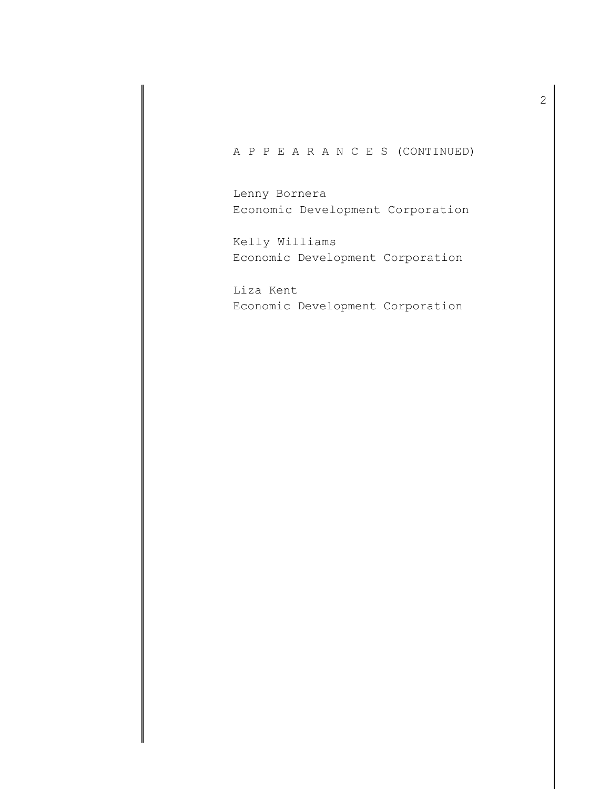## A P P E A R A N C E S (CONTINUED)

Lenny Bornera Economic Development Corporation

Kelly Williams Economic Development Corporation

Liza Kent Economic Development Corporation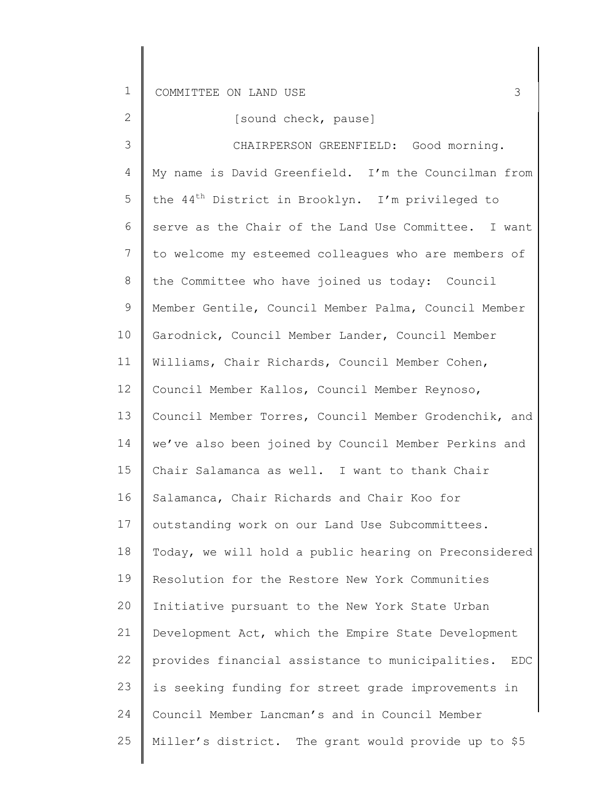| $\mathbf{2}$   | [sound check, pause]                                           |
|----------------|----------------------------------------------------------------|
| 3              | CHAIRPERSON GREENFIELD: Good morning.                          |
| 4              | My name is David Greenfield. I'm the Councilman from           |
| 5              | the 44 <sup>th</sup> District in Brooklyn. I'm privileged to   |
| 6              | serve as the Chair of the Land Use Committee. I want           |
| $\overline{7}$ | to welcome my esteemed colleagues who are members of           |
| 8              | the Committee who have joined us today: Council                |
| 9              | Member Gentile, Council Member Palma, Council Member           |
| 10             | Garodnick, Council Member Lander, Council Member               |
| 11             | Williams, Chair Richards, Council Member Cohen,                |
| 12             | Council Member Kallos, Council Member Reynoso,                 |
| 13             | Council Member Torres, Council Member Grodenchik, and          |
| 14             | we've also been joined by Council Member Perkins and           |
| 15             | Chair Salamanca as well. I want to thank Chair                 |
| 16             | Salamanca, Chair Richards and Chair Koo for                    |
| 17             | outstanding work on our Land Use Subcommittees.                |
| 18             | Today, we will hold a public hearing on Preconsidered          |
| 19             | Resolution for the Restore New York Communities                |
| 20             | Initiative pursuant to the New York State Urban                |
| 21             | Development Act, which the Empire State Development            |
| 22             | provides financial assistance to municipalities.<br><b>EDC</b> |
| 23             | is seeking funding for street grade improvements in            |
| 24             | Council Member Lancman's and in Council Member                 |
| 25             | Miller's district. The grant would provide up to \$5           |
|                |                                                                |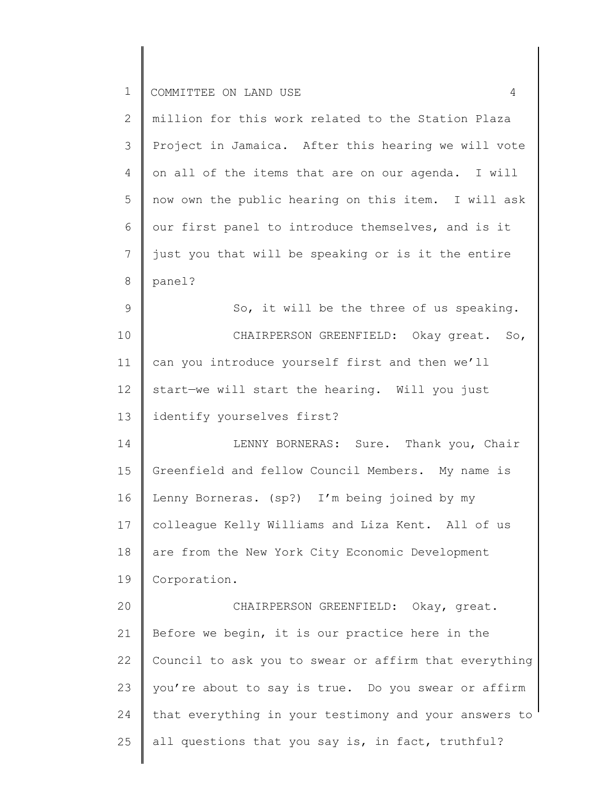| $\overline{2}$  | million for this work related to the Station Plaza    |
|-----------------|-------------------------------------------------------|
| 3               | Project in Jamaica. After this hearing we will vote   |
| 4               | on all of the items that are on our agenda. I will    |
| 5               | now own the public hearing on this item. I will ask   |
| 6               | our first panel to introduce themselves, and is it    |
| 7               | just you that will be speaking or is it the entire    |
| 8               | panel?                                                |
| 9               | So, it will be the three of us speaking.              |
| 10              | CHAIRPERSON GREENFIELD: Okay great. So,               |
| 11              | can you introduce yourself first and then we'll       |
| 12 <sup>°</sup> | start-we will start the hearing. Will you just        |
| 13              | identify yourselves first?                            |
| 14              | LENNY BORNERAS: Sure. Thank you, Chair                |
| 15              | Greenfield and fellow Council Members. My name is     |
| 16              | Lenny Borneras. (sp?) I'm being joined by my          |
| 17              | colleague Kelly Williams and Liza Kent. All of us     |
| 18              | are from the New York City Economic Development       |
| 19              | Corporation.                                          |
| 20              | CHAIRPERSON GREENFIELD: Okay, great.                  |
| 21              | Before we begin, it is our practice here in the       |
| 22              | Council to ask you to swear or affirm that everything |
| 23              | you're about to say is true. Do you swear or affirm   |
| 24              | that everything in your testimony and your answers to |
| 25              | all questions that you say is, in fact, truthful?     |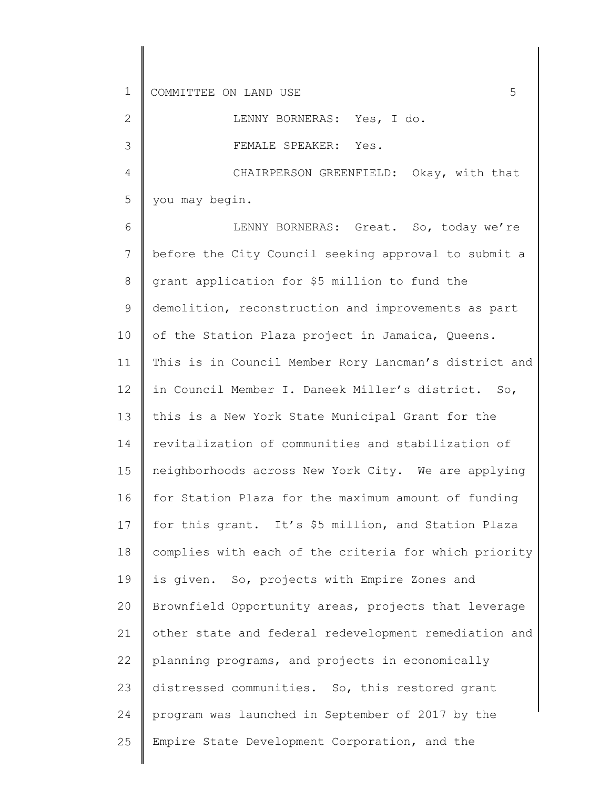2

3

LENNY BORNERAS: Yes, I do.

FEMALE SPEAKER: Yes.

4 5 CHAIRPERSON GREENFIELD: Okay, with that you may begin.

6 7 8 9 10 11 12 13 14 15 16 17 18 19 20 21 22 23 24 25 LENNY BORNERAS: Great. So, today we're before the City Council seeking approval to submit a grant application for \$5 million to fund the demolition, reconstruction and improvements as part of the Station Plaza project in Jamaica, Queens. This is in Council Member Rory Lancman's district and in Council Member I. Daneek Miller's district. So, this is a New York State Municipal Grant for the revitalization of communities and stabilization of neighborhoods across New York City. We are applying for Station Plaza for the maximum amount of funding for this grant. It's \$5 million, and Station Plaza complies with each of the criteria for which priority is given. So, projects with Empire Zones and Brownfield Opportunity areas, projects that leverage other state and federal redevelopment remediation and planning programs, and projects in economically distressed communities. So, this restored grant program was launched in September of 2017 by the Empire State Development Corporation, and the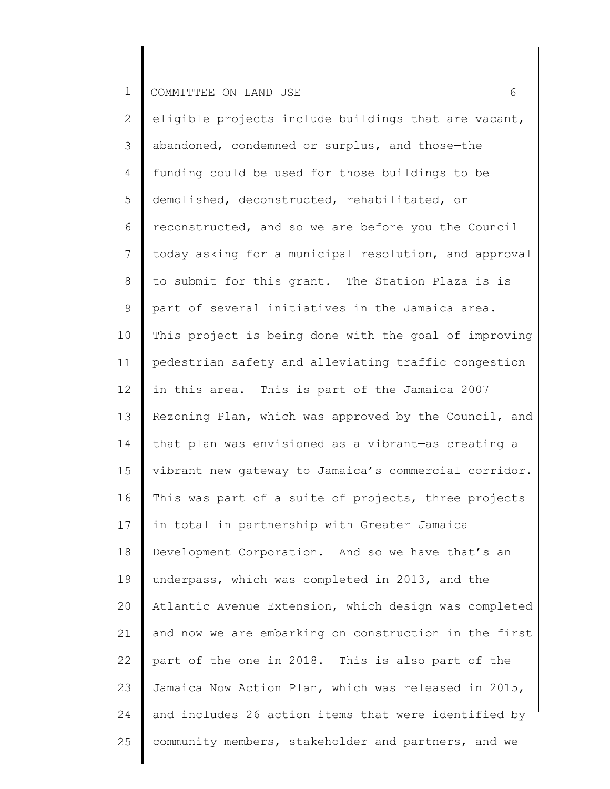2 3 4 5 6 7 8 9 10 11 12 13 14 15 16 17 18 19 20 21 22 23 24 25 eligible projects include buildings that are vacant, abandoned, condemned or surplus, and those—the funding could be used for those buildings to be demolished, deconstructed, rehabilitated, or reconstructed, and so we are before you the Council today asking for a municipal resolution, and approval to submit for this grant. The Station Plaza is—is part of several initiatives in the Jamaica area. This project is being done with the goal of improving pedestrian safety and alleviating traffic congestion in this area. This is part of the Jamaica 2007 Rezoning Plan, which was approved by the Council, and that plan was envisioned as a vibrant—as creating a vibrant new gateway to Jamaica's commercial corridor. This was part of a suite of projects, three projects in total in partnership with Greater Jamaica Development Corporation. And so we have—that's an underpass, which was completed in 2013, and the Atlantic Avenue Extension, which design was completed and now we are embarking on construction in the first part of the one in 2018. This is also part of the Jamaica Now Action Plan, which was released in 2015, and includes 26 action items that were identified by community members, stakeholder and partners, and we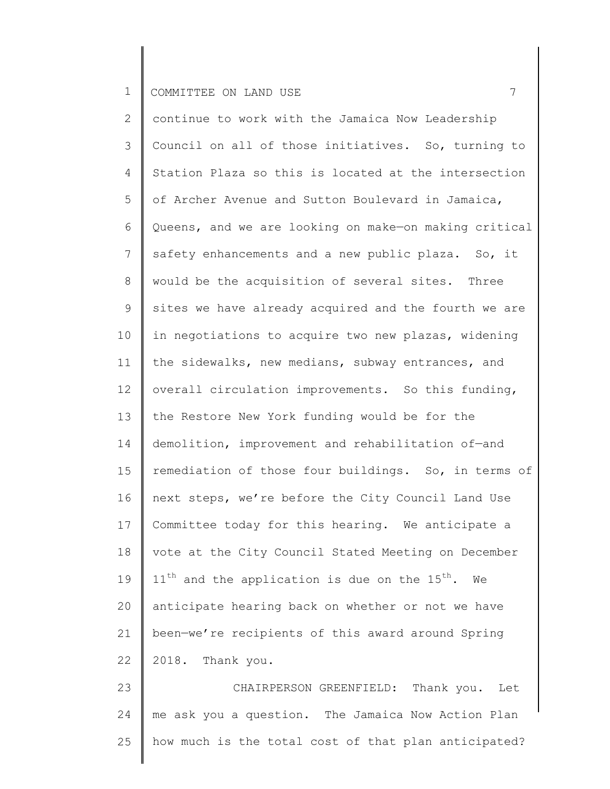2 3 4 5 6 7 8 9 10 11 12 13 14 15 16 17 18 19 20 21 22 23 continue to work with the Jamaica Now Leadership Council on all of those initiatives. So, turning to Station Plaza so this is located at the intersection of Archer Avenue and Sutton Boulevard in Jamaica, Queens, and we are looking on make—on making critical safety enhancements and a new public plaza. So, it would be the acquisition of several sites. Three sites we have already acquired and the fourth we are in negotiations to acquire two new plazas, widening the sidewalks, new medians, subway entrances, and overall circulation improvements. So this funding, the Restore New York funding would be for the demolition, improvement and rehabilitation of—and remediation of those four buildings. So, in terms of next steps, we're before the City Council Land Use Committee today for this hearing. We anticipate a vote at the City Council Stated Meeting on December  $11<sup>th</sup>$  and the application is due on the  $15<sup>th</sup>$ . We anticipate hearing back on whether or not we have been—we're recipients of this award around Spring 2018. Thank you. CHAIRPERSON GREENFIELD: Thank you. Let

24 25 me ask you a question. The Jamaica Now Action Plan how much is the total cost of that plan anticipated?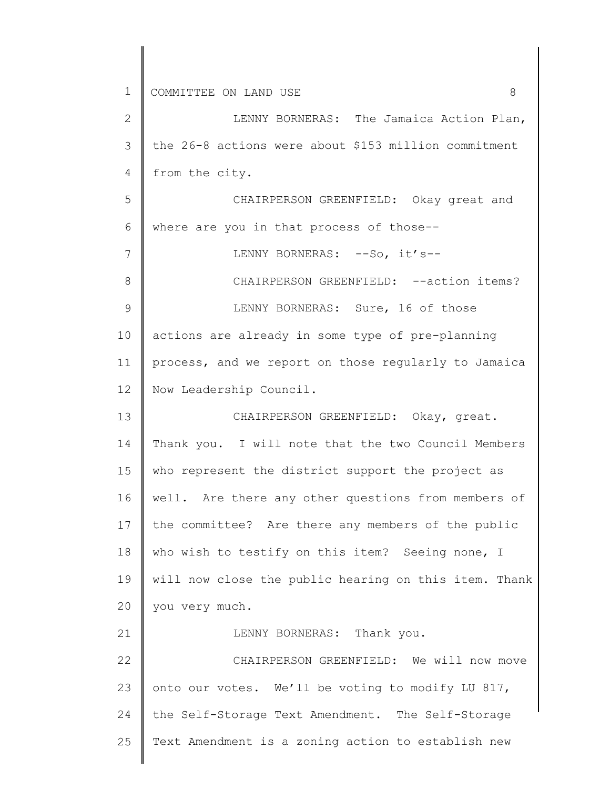1 2 3 4 5 6 7 8 9 10 11 12 13 14 15 16 17 18 19 20 21 22 23 24 COMMITTEE ON LAND USE 8 LENNY BORNERAS: The Jamaica Action Plan, the 26-8 actions were about \$153 million commitment from the city. CHAIRPERSON GREENFIELD: Okay great and where are you in that process of those-- LENNY BORNERAS: --So, it's--CHAIRPERSON GREENFIELD: --action items? LENNY BORNERAS: Sure, 16 of those actions are already in some type of pre-planning process, and we report on those regularly to Jamaica Now Leadership Council. CHAIRPERSON GREENFIELD: Okay, great. Thank you. I will note that the two Council Members who represent the district support the project as well. Are there any other questions from members of the committee? Are there any members of the public who wish to testify on this item? Seeing none, I will now close the public hearing on this item. Thank you very much. LENNY BORNERAS: Thank you. CHAIRPERSON GREENFIELD: We will now move onto our votes. We'll be voting to modify LU 817, the Self-Storage Text Amendment. The Self-Storage Text Amendment is a zoning action to establish new

25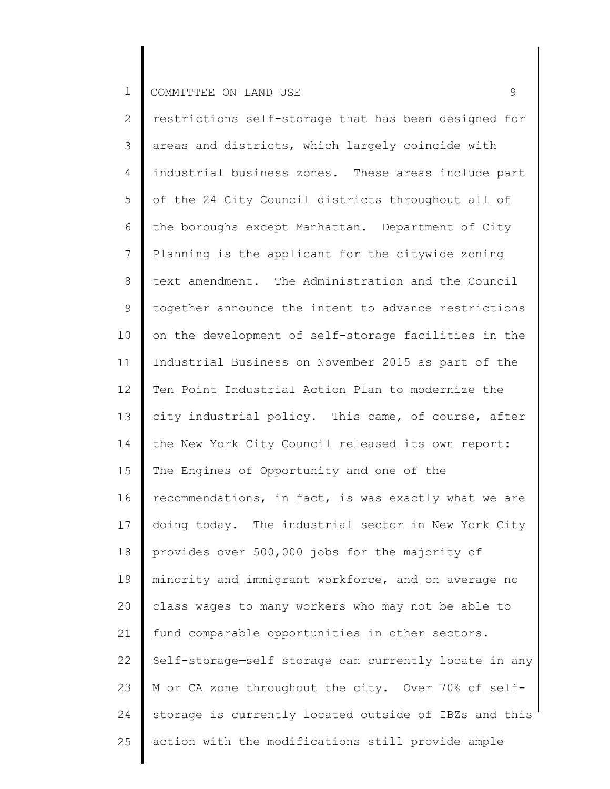2 3 4 5 6 7 8 9 10 11 12 13 14 15 16 17 18 19 20 21 22 23 24 25 restrictions self-storage that has been designed for areas and districts, which largely coincide with industrial business zones. These areas include part of the 24 City Council districts throughout all of the boroughs except Manhattan. Department of City Planning is the applicant for the citywide zoning text amendment. The Administration and the Council together announce the intent to advance restrictions on the development of self-storage facilities in the Industrial Business on November 2015 as part of the Ten Point Industrial Action Plan to modernize the city industrial policy. This came, of course, after the New York City Council released its own report: The Engines of Opportunity and one of the recommendations, in fact, is—was exactly what we are doing today. The industrial sector in New York City provides over 500,000 jobs for the majority of minority and immigrant workforce, and on average no class wages to many workers who may not be able to fund comparable opportunities in other sectors. Self-storage—self storage can currently locate in any M or CA zone throughout the city. Over 70% of selfstorage is currently located outside of IBZs and this action with the modifications still provide ample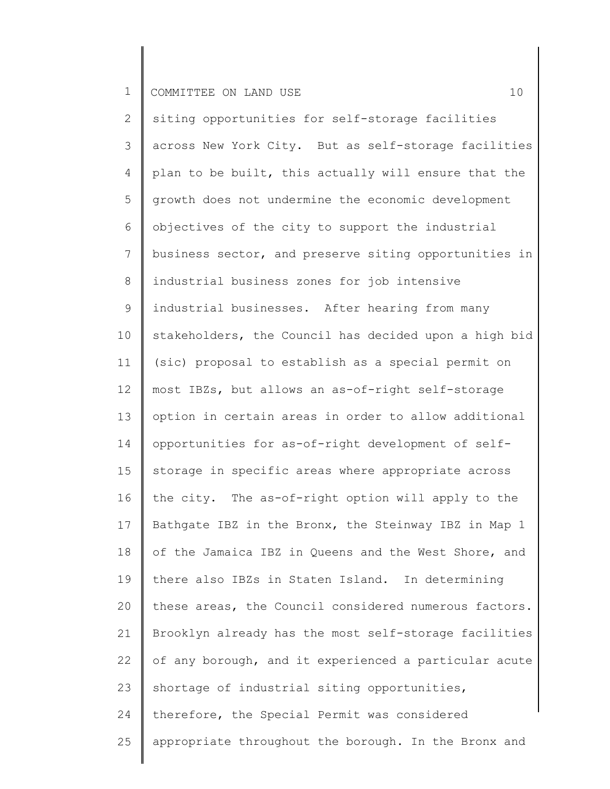## 1 COMMITTEE ON LAND USE 2001 10

2 3 4 5 6 7 8 9 10 11 12 13 14 15 16 17 18 19 20 21 22 23 24 25 siting opportunities for self-storage facilities across New York City. But as self-storage facilities plan to be built, this actually will ensure that the growth does not undermine the economic development objectives of the city to support the industrial business sector, and preserve siting opportunities in industrial business zones for job intensive industrial businesses. After hearing from many stakeholders, the Council has decided upon a high bid (sic) proposal to establish as a special permit on most IBZs, but allows an as-of-right self-storage option in certain areas in order to allow additional opportunities for as-of-right development of selfstorage in specific areas where appropriate across the city. The as-of-right option will apply to the Bathgate IBZ in the Bronx, the Steinway IBZ in Map 1 of the Jamaica IBZ in Queens and the West Shore, and there also IBZs in Staten Island. In determining these areas, the Council considered numerous factors. Brooklyn already has the most self-storage facilities of any borough, and it experienced a particular acute shortage of industrial siting opportunities, therefore, the Special Permit was considered appropriate throughout the borough. In the Bronx and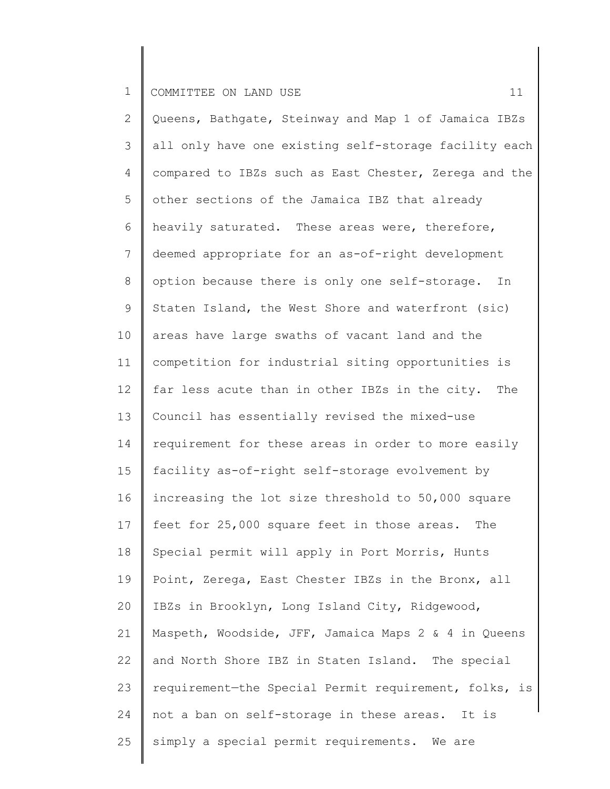2 3 4 5 6 7 8 9 10 11 12 13 14 15 16 17 18 19 20 21 22 23 24 25 Queens, Bathgate, Steinway and Map 1 of Jamaica IBZs all only have one existing self-storage facility each compared to IBZs such as East Chester, Zerega and the other sections of the Jamaica IBZ that already heavily saturated. These areas were, therefore, deemed appropriate for an as-of-right development option because there is only one self-storage. In Staten Island, the West Shore and waterfront (sic) areas have large swaths of vacant land and the competition for industrial siting opportunities is far less acute than in other IBZs in the city. The Council has essentially revised the mixed-use requirement for these areas in order to more easily facility as-of-right self-storage evolvement by increasing the lot size threshold to 50,000 square feet for 25,000 square feet in those areas. The Special permit will apply in Port Morris, Hunts Point, Zerega, East Chester IBZs in the Bronx, all IBZs in Brooklyn, Long Island City, Ridgewood, Maspeth, Woodside, JFF, Jamaica Maps 2 & 4 in Queens and North Shore IBZ in Staten Island. The special requirement—the Special Permit requirement, folks, is not a ban on self-storage in these areas. It is simply a special permit requirements. We are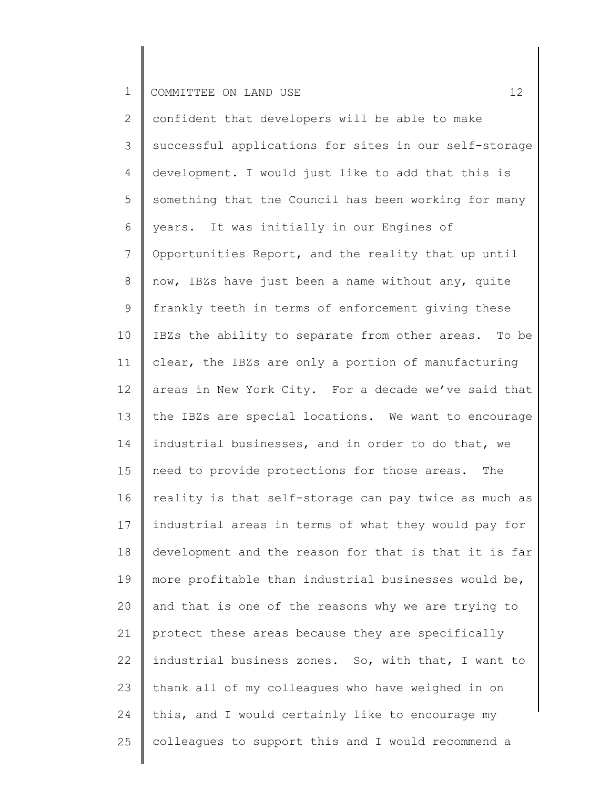2 3 4 5 6 7 8 9 10 11 12 13 14 15 16 17 18 19 20 21 22 23 24 25 confident that developers will be able to make successful applications for sites in our self-storage development. I would just like to add that this is something that the Council has been working for many years. It was initially in our Engines of Opportunities Report, and the reality that up until now, IBZs have just been a name without any, quite frankly teeth in terms of enforcement giving these IBZs the ability to separate from other areas. To be clear, the IBZs are only a portion of manufacturing areas in New York City. For a decade we've said that the IBZs are special locations. We want to encourage industrial businesses, and in order to do that, we need to provide protections for those areas. The reality is that self-storage can pay twice as much as industrial areas in terms of what they would pay for development and the reason for that is that it is far more profitable than industrial businesses would be, and that is one of the reasons why we are trying to protect these areas because they are specifically industrial business zones. So, with that, I want to thank all of my colleagues who have weighed in on this, and I would certainly like to encourage my colleagues to support this and I would recommend a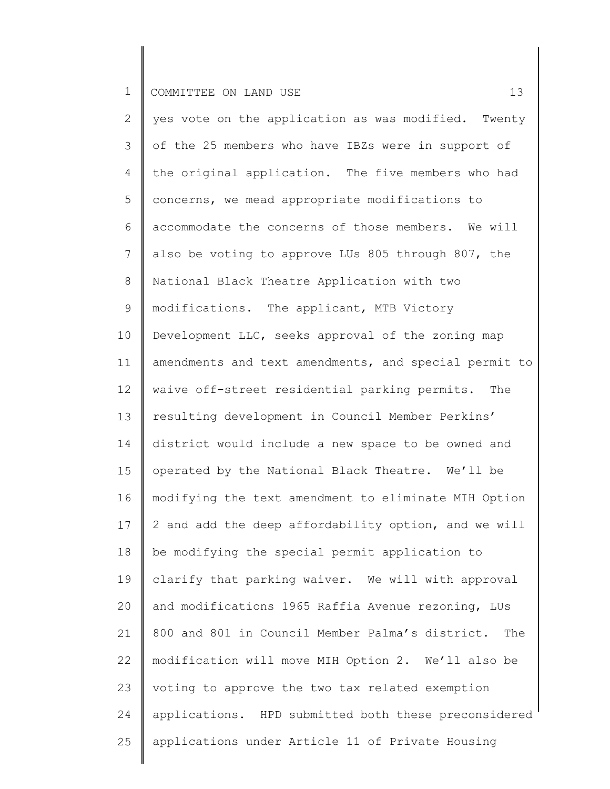2 3 4 5 6 7 8 9 10 11 12 13 14 15 16 17 18 19 20 21 22 23 24 25 yes vote on the application as was modified. Twenty of the 25 members who have IBZs were in support of the original application. The five members who had concerns, we mead appropriate modifications to accommodate the concerns of those members. We will also be voting to approve LUs 805 through 807, the National Black Theatre Application with two modifications. The applicant, MTB Victory Development LLC, seeks approval of the zoning map amendments and text amendments, and special permit to waive off-street residential parking permits. The resulting development in Council Member Perkins' district would include a new space to be owned and operated by the National Black Theatre. We'll be modifying the text amendment to eliminate MIH Option 2 and add the deep affordability option, and we will be modifying the special permit application to clarify that parking waiver. We will with approval and modifications 1965 Raffia Avenue rezoning, LUs 800 and 801 in Council Member Palma's district. The modification will move MIH Option 2. We'll also be voting to approve the two tax related exemption applications. HPD submitted both these preconsidered applications under Article 11 of Private Housing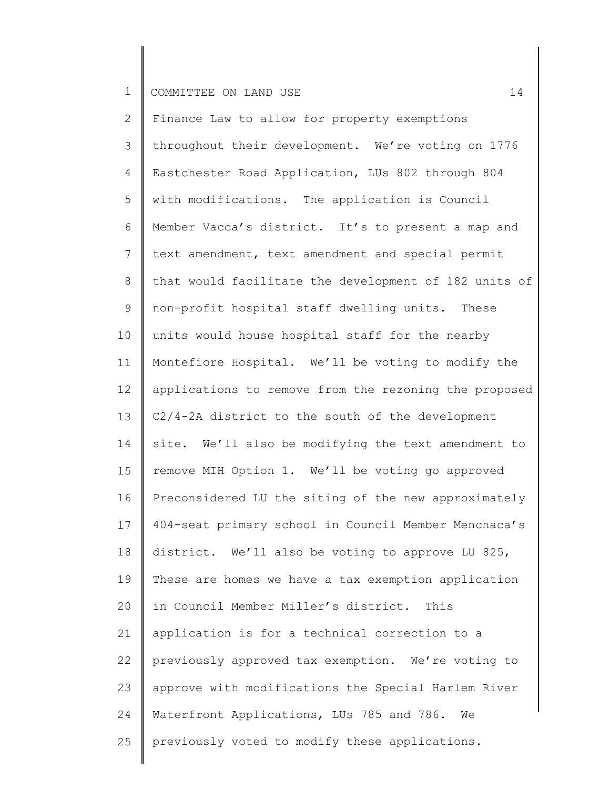2 3 4 5 6 7 8 9 10 11 12 13 14 15 16 17 18 19 20 21 22 23 24 25 Finance Law to allow for property exemptions throughout their development. We're voting on 1776 Eastchester Road Application, LUs 802 through 804 with modifications. The application is Council Member Vacca's district. It's to present a map and text amendment, text amendment and special permit that would facilitate the development of 182 units of non-profit hospital staff dwelling units. These units would house hospital staff for the nearby Montefiore Hospital. We'll be voting to modify the applications to remove from the rezoning the proposed C2/4-2A district to the south of the development site. We'll also be modifying the text amendment to remove MIH Option 1. We'll be voting go approved Preconsidered LU the siting of the new approximately 404-seat primary school in Council Member Menchaca's district. We'll also be voting to approve LU 825, These are homes we have a tax exemption application in Council Member Miller's district. This application is for a technical correction to a previously approved tax exemption. We're voting to approve with modifications the Special Harlem River Waterfront Applications, LUs 785 and 786. We previously voted to modify these applications.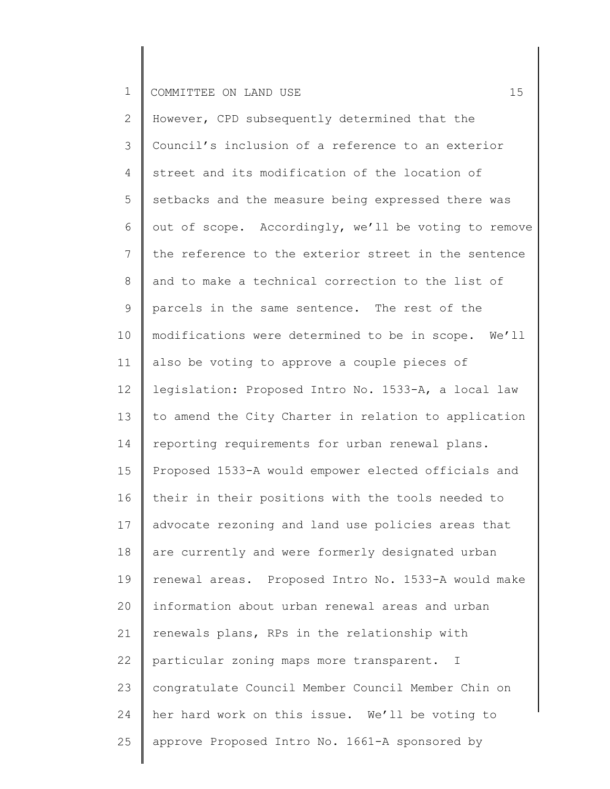2 3 4 5 6 7 8 9 10 11 12 13 14 15 16 17 18 19 20 21 22 23 24 25 However, CPD subsequently determined that the Council's inclusion of a reference to an exterior street and its modification of the location of setbacks and the measure being expressed there was out of scope. Accordingly, we'll be voting to remove the reference to the exterior street in the sentence and to make a technical correction to the list of parcels in the same sentence. The rest of the modifications were determined to be in scope. We'll also be voting to approve a couple pieces of legislation: Proposed Intro No. 1533-A, a local law to amend the City Charter in relation to application reporting requirements for urban renewal plans. Proposed 1533-A would empower elected officials and their in their positions with the tools needed to advocate rezoning and land use policies areas that are currently and were formerly designated urban renewal areas. Proposed Intro No. 1533-A would make information about urban renewal areas and urban renewals plans, RPs in the relationship with particular zoning maps more transparent. I congratulate Council Member Council Member Chin on her hard work on this issue. We'll be voting to approve Proposed Intro No. 1661-A sponsored by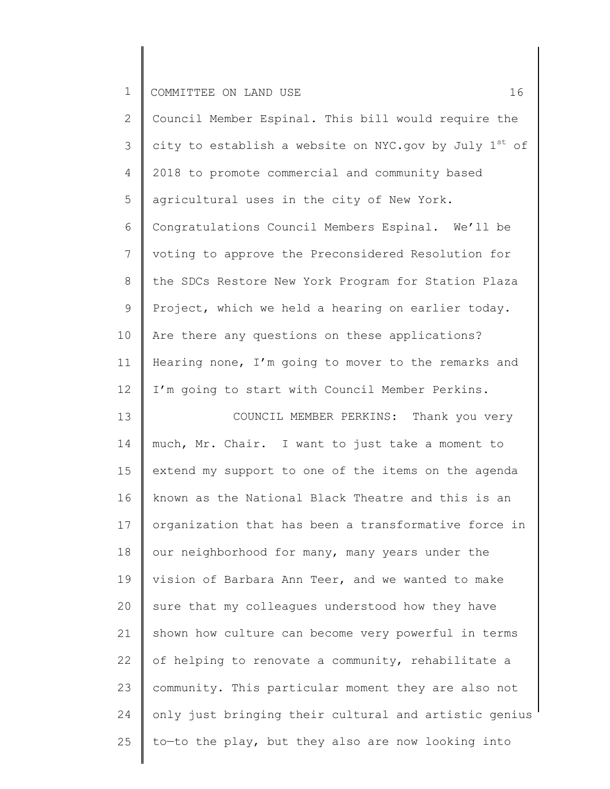| $\mathbf{2}$   | Council Member Espinal. This bill would require the   |
|----------------|-------------------------------------------------------|
| 3              | city to establish a website on NYC.gov by July 1st of |
| 4              | 2018 to promote commercial and community based        |
| 5              | agricultural uses in the city of New York.            |
| 6              | Congratulations Council Members Espinal. We'll be     |
| $\overline{7}$ | voting to approve the Preconsidered Resolution for    |
| $8\,$          | the SDCs Restore New York Program for Station Plaza   |
| $\mathsf 9$    | Project, which we held a hearing on earlier today.    |
| 10             | Are there any questions on these applications?        |
| 11             | Hearing none, I'm going to mover to the remarks and   |
| 12             | I'm going to start with Council Member Perkins.       |
| 13             | COUNCIL MEMBER PERKINS: Thank you very                |
| 14             | much, Mr. Chair. I want to just take a moment to      |
| 15             | extend my support to one of the items on the agenda   |
| 16             | known as the National Black Theatre and this is an    |
| 17             | organization that has been a transformative force in  |
| 18             | our neighborhood for many, many years under the       |
| 19             | vision of Barbara Ann Teer, and we wanted to make     |
| 20             | sure that my colleagues understood how they have      |
| 21             | shown how culture can become very powerful in terms   |
| 22             | of helping to renovate a community, rehabilitate a    |
| 23             | community. This particular moment they are also not   |
| 24             | only just bringing their cultural and artistic genius |
| 25             | to-to the play, but they also are now looking into    |
|                |                                                       |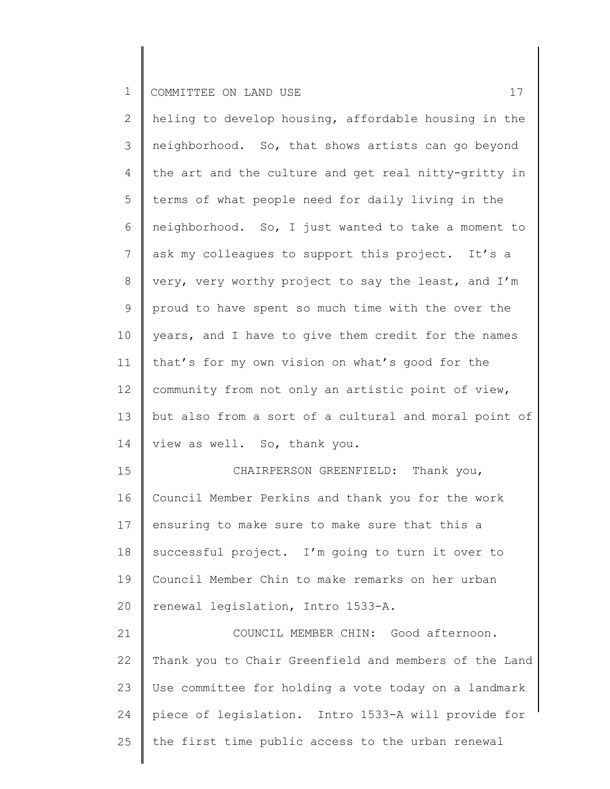25

| $\mathbf{2}$ | heling to develop housing, affordable housing in the  |
|--------------|-------------------------------------------------------|
| 3            | neighborhood. So, that shows artists can go beyond    |
| 4            | the art and the culture and get real nitty-gritty in  |
| 5            | terms of what people need for daily living in the     |
| 6            | neighborhood. So, I just wanted to take a moment to   |
| 7            | ask my colleagues to support this project. It's a     |
| 8            | very, very worthy project to say the least, and I'm   |
| 9            | proud to have spent so much time with the over the    |
| 10           | years, and I have to give them credit for the names   |
| 11           | that's for my own vision on what's good for the       |
| 12           | community from not only an artistic point of view,    |
| 13           | but also from a sort of a cultural and moral point of |
| 14           | view as well. So, thank you.                          |
| 15           | CHAIRPERSON GREENFIELD: Thank you,                    |
| 16           | Council Member Perkins and thank you for the work     |
| 17           | ensuring to make sure to make sure that this a        |
| 18           | successful project. I'm going to turn it over to      |
| 19           | Council Member Chin to make remarks on her urban      |
| 20           | renewal legislation, Intro 1533-A.                    |
| 21           | COUNCIL MEMBER CHIN: Good afternoon.                  |
| 22           | Thank you to Chair Greenfield and members of the Land |
| 23           | Use committee for holding a vote today on a landmark  |
| 24           | piece of legislation. Intro 1533-A will provide for   |

the first time public access to the urban renewal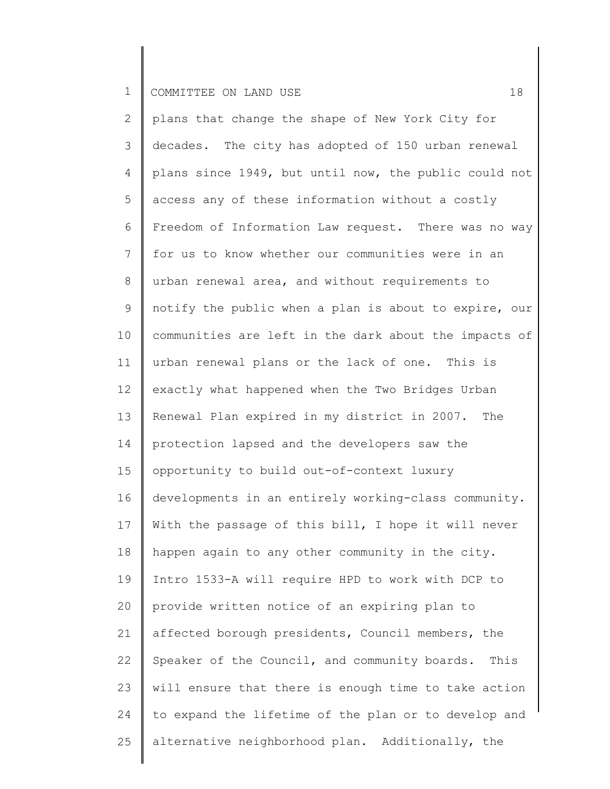2 3 4 5 6 7 8 9 10 11 12 13 14 15 16 17 18 19 20 21 22 23 24 25 plans that change the shape of New York City for decades. The city has adopted of 150 urban renewal plans since 1949, but until now, the public could not access any of these information without a costly Freedom of Information Law request. There was no way for us to know whether our communities were in an urban renewal area, and without requirements to notify the public when a plan is about to expire, our communities are left in the dark about the impacts of urban renewal plans or the lack of one. This is exactly what happened when the Two Bridges Urban Renewal Plan expired in my district in 2007. The protection lapsed and the developers saw the opportunity to build out-of-context luxury developments in an entirely working-class community. With the passage of this bill, I hope it will never happen again to any other community in the city. Intro 1533-A will require HPD to work with DCP to provide written notice of an expiring plan to affected borough presidents, Council members, the Speaker of the Council, and community boards. This will ensure that there is enough time to take action to expand the lifetime of the plan or to develop and alternative neighborhood plan. Additionally, the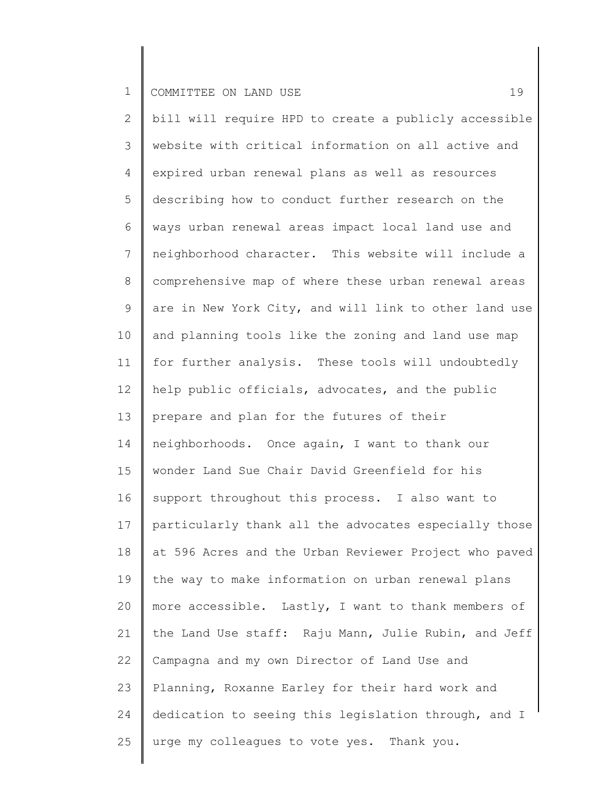2 3 4 5 6 7 8 9 10 11 12 13 14 15 16 17 18 19 20 21 22 23 24 25 bill will require HPD to create a publicly accessible website with critical information on all active and expired urban renewal plans as well as resources describing how to conduct further research on the ways urban renewal areas impact local land use and neighborhood character. This website will include a comprehensive map of where these urban renewal areas are in New York City, and will link to other land use and planning tools like the zoning and land use map for further analysis. These tools will undoubtedly help public officials, advocates, and the public prepare and plan for the futures of their neighborhoods. Once again, I want to thank our wonder Land Sue Chair David Greenfield for his support throughout this process. I also want to particularly thank all the advocates especially those at 596 Acres and the Urban Reviewer Project who paved the way to make information on urban renewal plans more accessible. Lastly, I want to thank members of the Land Use staff: Raju Mann, Julie Rubin, and Jeff Campagna and my own Director of Land Use and Planning, Roxanne Earley for their hard work and dedication to seeing this legislation through, and I urge my colleagues to vote yes. Thank you.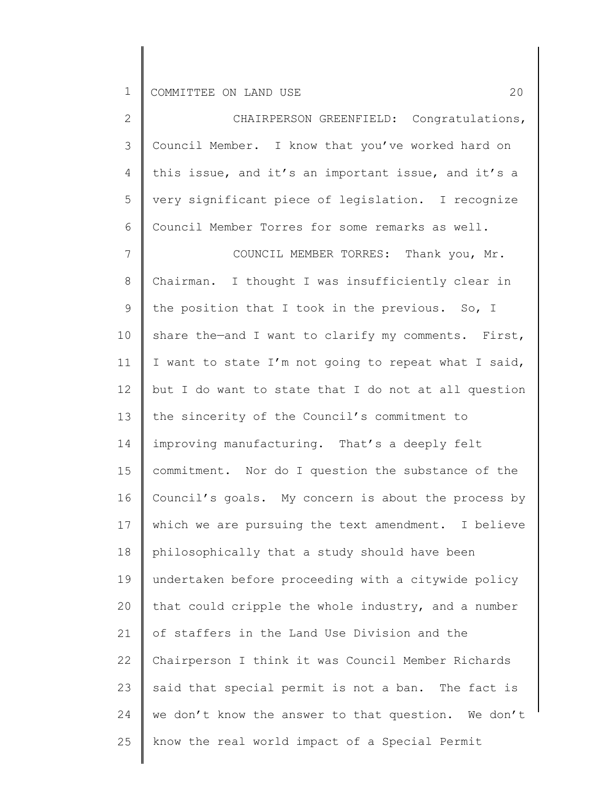| $\overline{2}$ | CHAIRPERSON GREENFIELD: Congratulations,             |
|----------------|------------------------------------------------------|
| $\mathcal{S}$  | Council Member. I know that you've worked hard on    |
| 4              | this issue, and it's an important issue, and it's a  |
| 5              | very significant piece of legislation. I recognize   |
| 6              | Council Member Torres for some remarks as well.      |
| $\overline{7}$ | COUNCIL MEMBER TORRES: Thank you, Mr.                |
| $8\,$          | Chairman. I thought I was insufficiently clear in    |
| $\mathsf 9$    | the position that I took in the previous. So, I      |
| 10             | share the-and I want to clarify my comments. First,  |
| 11             | I want to state I'm not going to repeat what I said, |
| 12             | but I do want to state that I do not at all question |
| 13             | the sincerity of the Council's commitment to         |
| 14             | improving manufacturing. That's a deeply felt        |
| 15             | commitment. Nor do I question the substance of the   |
| 16             | Council's goals. My concern is about the process by  |
| 17             | which we are pursuing the text amendment. I believe  |
| 18             | philosophically that a study should have been        |
| 19             | undertaken before proceeding with a citywide policy  |
| 20             | that could cripple the whole industry, and a number  |
| 21             | of staffers in the Land Use Division and the         |
| 22             | Chairperson I think it was Council Member Richards   |
| 23             | said that special permit is not a ban. The fact is   |
| 24             | we don't know the answer to that question. We don't  |
| 25             | know the real world impact of a Special Permit       |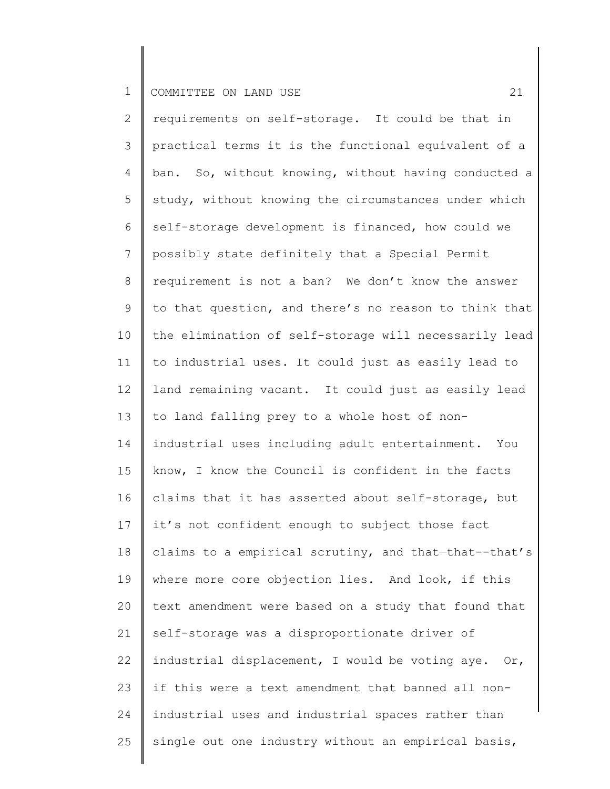2 3 4 5 6 7 8 9 10 11 12 13 14 15 16 17 18 19 20 21 22 23 24 25 requirements on self-storage. It could be that in practical terms it is the functional equivalent of a ban. So, without knowing, without having conducted a study, without knowing the circumstances under which self-storage development is financed, how could we possibly state definitely that a Special Permit requirement is not a ban? We don't know the answer to that question, and there's no reason to think that the elimination of self-storage will necessarily lead to industrial uses. It could just as easily lead to land remaining vacant. It could just as easily lead to land falling prey to a whole host of nonindustrial uses including adult entertainment. You know, I know the Council is confident in the facts claims that it has asserted about self-storage, but it's not confident enough to subject those fact claims to a empirical scrutiny, and that—that--that's where more core objection lies. And look, if this text amendment were based on a study that found that self-storage was a disproportionate driver of industrial displacement, I would be voting aye. Or, if this were a text amendment that banned all nonindustrial uses and industrial spaces rather than single out one industry without an empirical basis,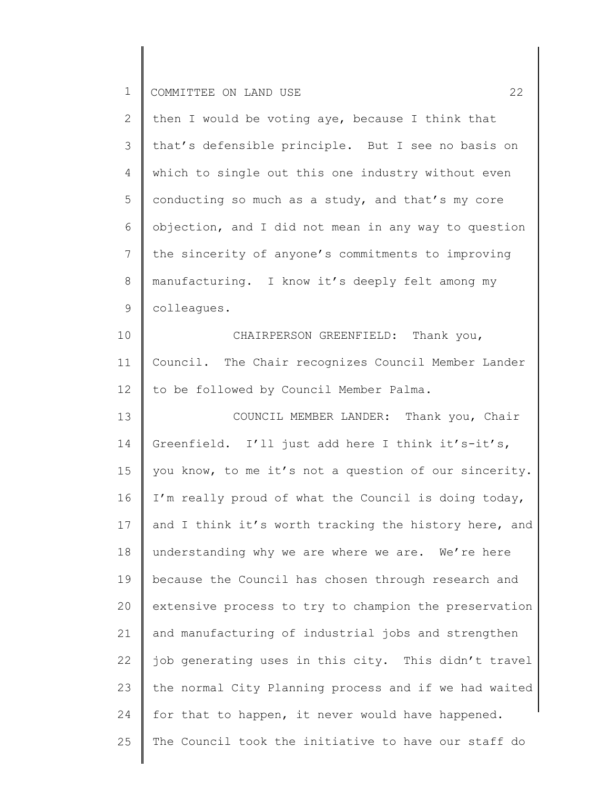| $\overline{2}$  | then I would be voting aye, because I think that      |
|-----------------|-------------------------------------------------------|
| 3               | that's defensible principle. But I see no basis on    |
| 4               | which to single out this one industry without even    |
| 5               | conducting so much as a study, and that's my core     |
| 6               | objection, and I did not mean in any way to question  |
| $7\phantom{.0}$ | the sincerity of anyone's commitments to improving    |
| 8               | manufacturing. I know it's deeply felt among my       |
| 9               | colleagues.                                           |
| 10              | CHAIRPERSON GREENFIELD: Thank you,                    |
| 11              | Council. The Chair recognizes Council Member Lander   |
| 12              | to be followed by Council Member Palma.               |
| 13              | COUNCIL MEMBER LANDER: Thank you, Chair               |
| 14              | Greenfield. I'll just add here I think it's-it's,     |
| 15              | you know, to me it's not a question of our sincerity. |
| 16              | I'm really proud of what the Council is doing today,  |
| 17              | and I think it's worth tracking the history here, and |
| 18              | understanding why we are where we are. We're here     |
| 19              | because the Council has chosen through research and   |
| 20              | extensive process to try to champion the preservation |
| 21              | and manufacturing of industrial jobs and strengthen   |
| 22              | job generating uses in this city. This didn't travel  |
| 23              | the normal City Planning process and if we had waited |
| 24              | for that to happen, it never would have happened.     |
| 25              | The Council took the initiative to have our staff do  |
|                 |                                                       |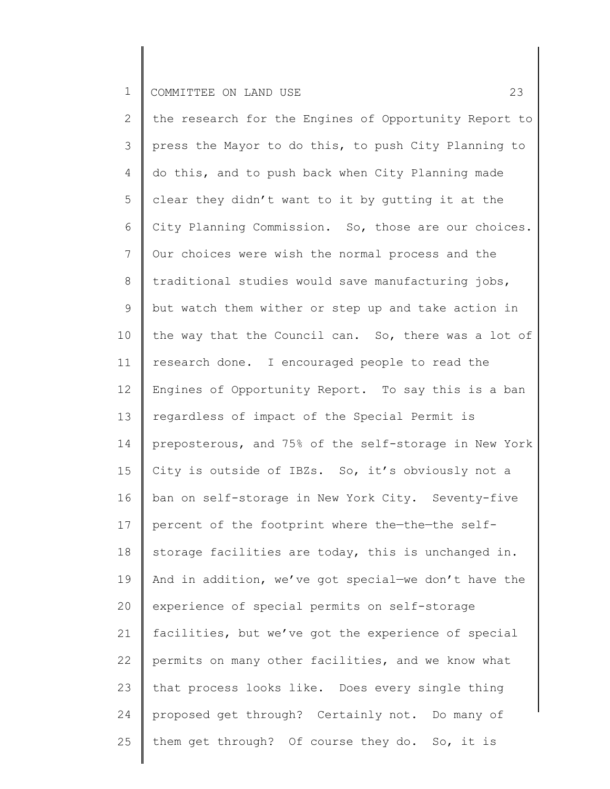2 3 4 5 6 7 8 9 10 11 12 13 14 15 16 17 18 19 20 21 22 23 24 25 the research for the Engines of Opportunity Report to press the Mayor to do this, to push City Planning to do this, and to push back when City Planning made clear they didn't want to it by gutting it at the City Planning Commission. So, those are our choices. Our choices were wish the normal process and the traditional studies would save manufacturing jobs, but watch them wither or step up and take action in the way that the Council can. So, there was a lot of research done. I encouraged people to read the Engines of Opportunity Report. To say this is a ban regardless of impact of the Special Permit is preposterous, and 75% of the self-storage in New York City is outside of IBZs. So, it's obviously not a ban on self-storage in New York City. Seventy-five percent of the footprint where the—the—the selfstorage facilities are today, this is unchanged in. And in addition, we've got special—we don't have the experience of special permits on self-storage facilities, but we've got the experience of special permits on many other facilities, and we know what that process looks like. Does every single thing proposed get through? Certainly not. Do many of them get through? Of course they do. So, it is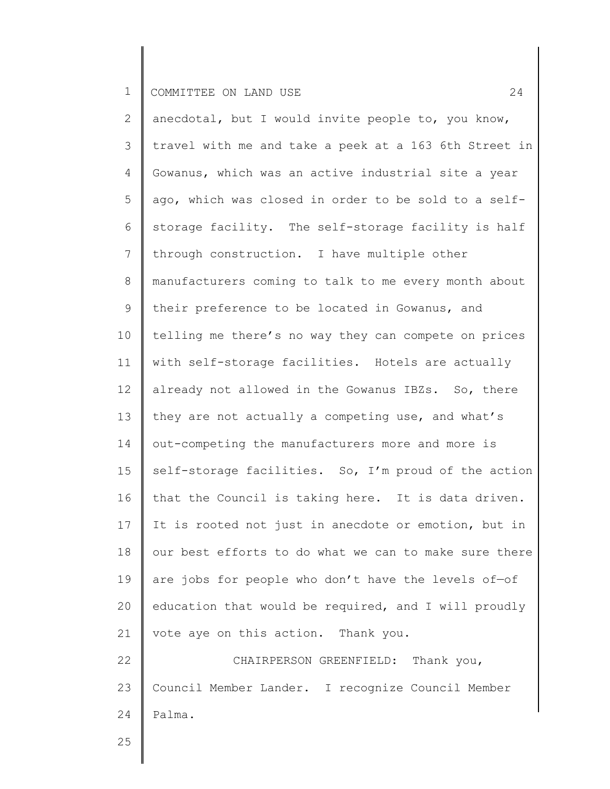2 3 4 5 6 7 8 9 10 11 12 13 14 15 16 17 18 19 20 21 22 23 24 anecdotal, but I would invite people to, you know, travel with me and take a peek at a 163 6th Street in Gowanus, which was an active industrial site a year ago, which was closed in order to be sold to a selfstorage facility. The self-storage facility is half through construction. I have multiple other manufacturers coming to talk to me every month about their preference to be located in Gowanus, and telling me there's no way they can compete on prices with self-storage facilities. Hotels are actually already not allowed in the Gowanus IBZs. So, there they are not actually a competing use, and what's out-competing the manufacturers more and more is self-storage facilities. So, I'm proud of the action that the Council is taking here. It is data driven. It is rooted not just in anecdote or emotion, but in our best efforts to do what we can to make sure there are jobs for people who don't have the levels of—of education that would be required, and I will proudly vote aye on this action. Thank you. CHAIRPERSON GREENFIELD: Thank you, Council Member Lander. I recognize Council Member Palma.

25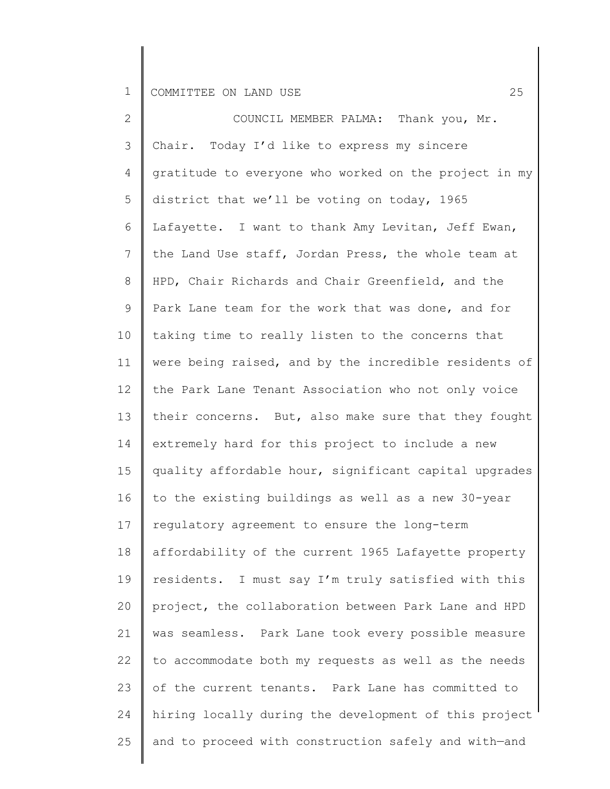| $\mathbf{2}$    | COUNCIL MEMBER PALMA: Thank you, Mr.                  |
|-----------------|-------------------------------------------------------|
| 3               | Chair. Today I'd like to express my sincere           |
| 4               | gratitude to everyone who worked on the project in my |
| 5               | district that we'll be voting on today, 1965          |
| 6               | Lafayette. I want to thank Amy Levitan, Jeff Ewan,    |
| $7\phantom{.0}$ | the Land Use staff, Jordan Press, the whole team at   |
| 8               | HPD, Chair Richards and Chair Greenfield, and the     |
| 9               | Park Lane team for the work that was done, and for    |
| 10              | taking time to really listen to the concerns that     |
| 11              | were being raised, and by the incredible residents of |
| 12              | the Park Lane Tenant Association who not only voice   |
| 13              | their concerns. But, also make sure that they fought  |
| 14              | extremely hard for this project to include a new      |
| 15              | quality affordable hour, significant capital upgrades |
| 16              | to the existing buildings as well as a new 30-year    |
| 17              | regulatory agreement to ensure the long-term          |
| 18              | affordability of the current 1965 Lafayette property  |
| 19              | residents. I must say I'm truly satisfied with this   |
| 20              | project, the collaboration between Park Lane and HPD  |
| 21              | was seamless. Park Lane took every possible measure   |
| 22              | to accommodate both my requests as well as the needs  |
| 23              | of the current tenants. Park Lane has committed to    |
| 24              | hiring locally during the development of this project |
| 25              | and to proceed with construction safely and with-and  |
|                 |                                                       |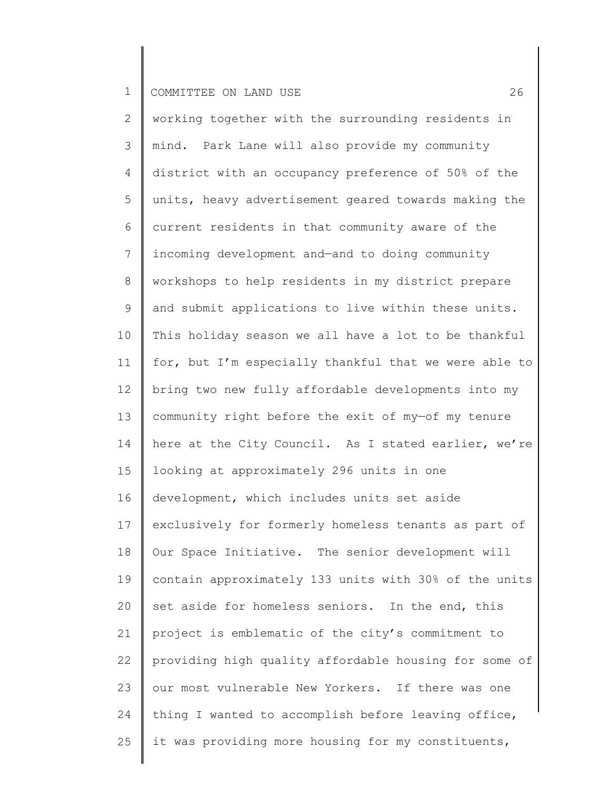| $\mathbf{2}$ | working together with the surrounding residents in    |
|--------------|-------------------------------------------------------|
| 3            | mind. Park Lane will also provide my community        |
| 4            | district with an occupancy preference of 50% of the   |
| 5            | units, heavy advertisement geared towards making the  |
| 6            | current residents in that community aware of the      |
| 7            | incoming development and-and to doing community       |
| $8\,$        | workshops to help residents in my district prepare    |
| $\mathsf 9$  | and submit applications to live within these units.   |
| 10           | This holiday season we all have a lot to be thankful  |
| 11           | for, but I'm especially thankful that we were able to |
| 12           | bring two new fully affordable developments into my   |
| 13           | community right before the exit of my-of my tenure    |
| 14           | here at the City Council. As I stated earlier, we're  |
| 15           | looking at approximately 296 units in one             |
| 16           | development, which includes units set aside           |
| 17           | exclusively for formerly homeless tenants as part of  |
| 18           | Our Space Initiative. The senior development will     |
| 19           | contain approximately 133 units with 30% of the units |
| 20           | set aside for homeless seniors. In the end, this      |
| 21           | project is emblematic of the city's commitment to     |
| 22           | providing high quality affordable housing for some of |
| 23           | our most vulnerable New Yorkers. If there was one     |
| 24           | thing I wanted to accomplish before leaving office,   |
| 25           | it was providing more housing for my constituents,    |
|              |                                                       |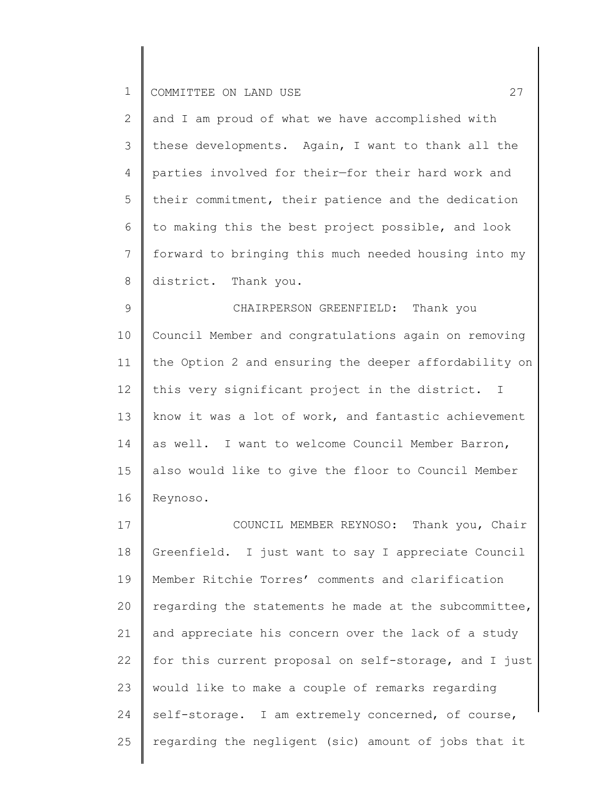| $\overline{2}$ | and I am proud of what we have accomplished with        |
|----------------|---------------------------------------------------------|
|                | 3   these developments. Again, I want to thank all the  |
| $4 -$          | parties involved for their-for their hard work and      |
|                | 5   their commitment, their patience and the dedication |
| $6\degree$     | to making this the best project possible, and look      |
|                | forward to bringing this much needed housing into my    |
| 8              | district. Thank you.                                    |

9 10 11 12 13 14 15 16 CHAIRPERSON GREENFIELD: Thank you Council Member and congratulations again on removing the Option 2 and ensuring the deeper affordability on this very significant project in the district. I know it was a lot of work, and fantastic achievement as well. I want to welcome Council Member Barron, also would like to give the floor to Council Member Reynoso.

17 18 19 20 21 22 23 24 25 COUNCIL MEMBER REYNOSO: Thank you, Chair Greenfield. I just want to say I appreciate Council Member Ritchie Torres' comments and clarification regarding the statements he made at the subcommittee, and appreciate his concern over the lack of a study for this current proposal on self-storage, and I just would like to make a couple of remarks regarding self-storage. I am extremely concerned, of course, regarding the negligent (sic) amount of jobs that it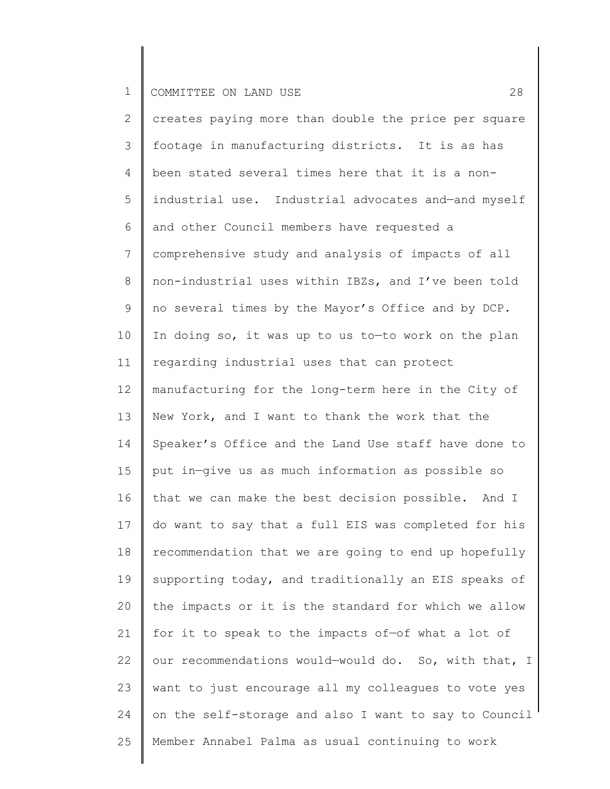2 3 4 5 6 7 8 9 10 11 12 13 14 15 16 17 18 19 20 21 22 23 24 25 creates paying more than double the price per square footage in manufacturing districts. It is as has been stated several times here that it is a nonindustrial use. Industrial advocates and—and myself and other Council members have requested a comprehensive study and analysis of impacts of all non-industrial uses within IBZs, and I've been told no several times by the Mayor's Office and by DCP. In doing so, it was up to us to—to work on the plan regarding industrial uses that can protect manufacturing for the long-term here in the City of New York, and I want to thank the work that the Speaker's Office and the Land Use staff have done to put in—give us as much information as possible so that we can make the best decision possible. And I do want to say that a full EIS was completed for his recommendation that we are going to end up hopefully supporting today, and traditionally an EIS speaks of the impacts or it is the standard for which we allow for it to speak to the impacts of—of what a lot of our recommendations would—would do. So, with that, I want to just encourage all my colleagues to vote yes on the self-storage and also I want to say to Council Member Annabel Palma as usual continuing to work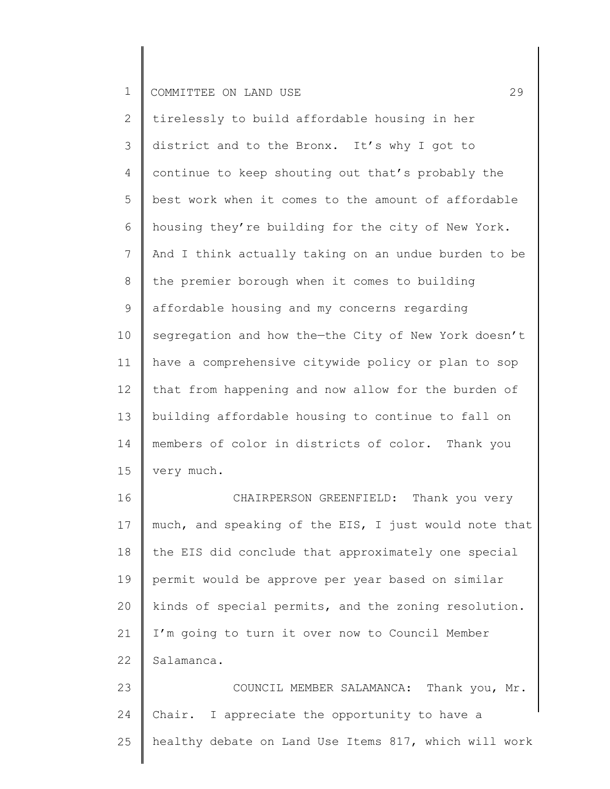2 3 4 5 6 7 8 9 10 11 12 13 14 15 tirelessly to build affordable housing in her district and to the Bronx. It's why I got to continue to keep shouting out that's probably the best work when it comes to the amount of affordable housing they're building for the city of New York. And I think actually taking on an undue burden to be the premier borough when it comes to building affordable housing and my concerns regarding segregation and how the—the City of New York doesn't have a comprehensive citywide policy or plan to sop that from happening and now allow for the burden of building affordable housing to continue to fall on members of color in districts of color. Thank you very much.

16 17 18 19 20 21 22 CHAIRPERSON GREENFIELD: Thank you very much, and speaking of the EIS, I just would note that the EIS did conclude that approximately one special permit would be approve per year based on similar kinds of special permits, and the zoning resolution. I'm going to turn it over now to Council Member Salamanca.

23 24 25 COUNCIL MEMBER SALAMANCA: Thank you, Mr. Chair. I appreciate the opportunity to have a healthy debate on Land Use Items 817, which will work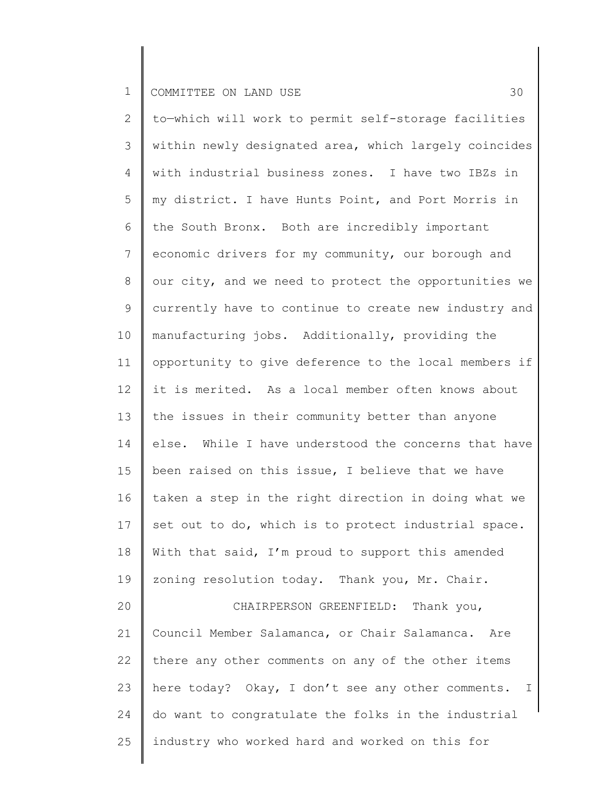2 3 4 5 6 7 8 9 10 11 12 13 14 15 16 17 18 19 20 21 22 23 24 25 to—which will work to permit self-storage facilities within newly designated area, which largely coincides with industrial business zones. I have two IBZs in my district. I have Hunts Point, and Port Morris in the South Bronx. Both are incredibly important economic drivers for my community, our borough and our city, and we need to protect the opportunities we currently have to continue to create new industry and manufacturing jobs. Additionally, providing the opportunity to give deference to the local members if it is merited. As a local member often knows about the issues in their community better than anyone else. While I have understood the concerns that have been raised on this issue, I believe that we have taken a step in the right direction in doing what we set out to do, which is to protect industrial space. With that said, I'm proud to support this amended zoning resolution today. Thank you, Mr. Chair. CHAIRPERSON GREENFIELD: Thank you, Council Member Salamanca, or Chair Salamanca. Are there any other comments on any of the other items here today? Okay, I don't see any other comments. I do want to congratulate the folks in the industrial industry who worked hard and worked on this for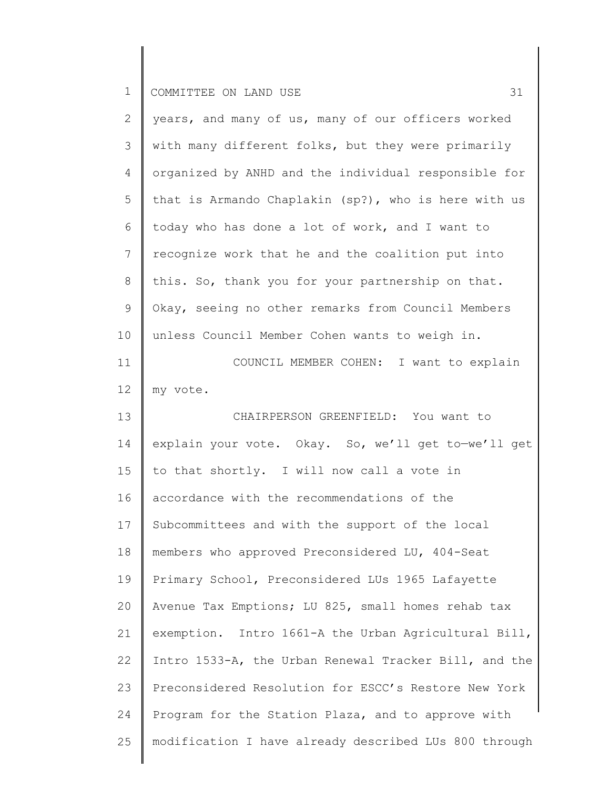| $\mathbf{2}$    | years, and many of us, many of our officers worked    |
|-----------------|-------------------------------------------------------|
| 3               | with many different folks, but they were primarily    |
| 4               | organized by ANHD and the individual responsible for  |
| 5               | that is Armando Chaplakin (sp?), who is here with us  |
| 6               | today who has done a lot of work, and I want to       |
| $7\phantom{.0}$ | recognize work that he and the coalition put into     |
| 8               | this. So, thank you for your partnership on that.     |
| 9               | Okay, seeing no other remarks from Council Members    |
| 10              | unless Council Member Cohen wants to weigh in.        |
| 11              | COUNCIL MEMBER COHEN: I want to explain               |
| 12              | my vote.                                              |
| 13              | CHAIRPERSON GREENFIELD: You want to                   |
| 14              | explain your vote. Okay. So, we'll get to-we'll get   |
| 15              | to that shortly. I will now call a vote in            |
| 16              | accordance with the recommendations of the            |
| 17              | Subcommittees and with the support of the local       |
| 18              | members who approved Preconsidered LU, 404-Seat       |
| 19              | Primary School, Preconsidered LUs 1965 Lafayette      |
| 20              | Avenue Tax Emptions; LU 825, small homes rehab tax    |
| 21              | exemption. Intro 1661-A the Urban Agricultural Bill,  |
| 22              | Intro 1533-A, the Urban Renewal Tracker Bill, and the |
| 23              | Preconsidered Resolution for ESCC's Restore New York  |
| 24              | Program for the Station Plaza, and to approve with    |
| 25              | modification I have already described LUs 800 through |
|                 |                                                       |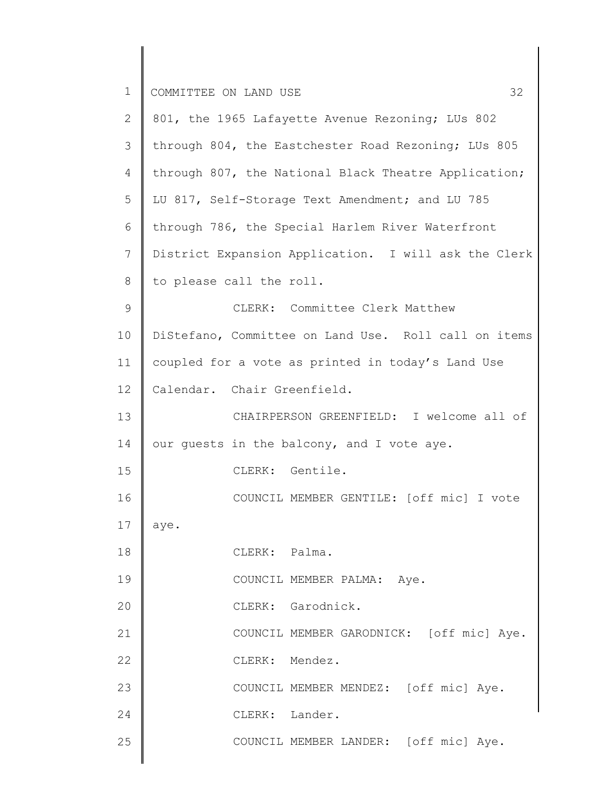| $\mathbf 1$    | 32<br>COMMITTEE ON LAND USE                          |
|----------------|------------------------------------------------------|
| $\mathbf{2}$   | 801, the 1965 Lafayette Avenue Rezoning; LUs 802     |
| 3              | through 804, the Eastchester Road Rezoning; LUs 805  |
| $\overline{4}$ | through 807, the National Black Theatre Application; |
| 5              | LU 817, Self-Storage Text Amendment; and LU 785      |
| 6              | through 786, the Special Harlem River Waterfront     |
| 7              | District Expansion Application. I will ask the Clerk |
| 8              | to please call the roll.                             |
| $\mathsf 9$    | CLERK: Committee Clerk Matthew                       |
| 10             | DiStefano, Committee on Land Use. Roll call on items |
| 11             | coupled for a vote as printed in today's Land Use    |
| 12             | Calendar. Chair Greenfield.                          |
| 13             | CHAIRPERSON GREENFIELD: I welcome all of             |
| 14             | our guests in the balcony, and I vote aye.           |
| 15             | CLERK: Gentile.                                      |
| 16             | COUNCIL MEMBER GENTILE: [off mic] I vote             |
| 17             | aye.                                                 |
| 18             | CLERK: Palma.                                        |
| 19             | COUNCIL MEMBER PALMA: Aye.                           |
| 20             | CLERK: Garodnick.                                    |
| 21             | COUNCIL MEMBER GARODNICK: [off mic] Aye.             |
| 22             | CLERK: Mendez.                                       |
| 23             | COUNCIL MEMBER MENDEZ: [off mic] Aye.                |
| 24             | CLERK: Lander.                                       |
| 25             | COUNCIL MEMBER LANDER: [off mic] Aye.                |
|                |                                                      |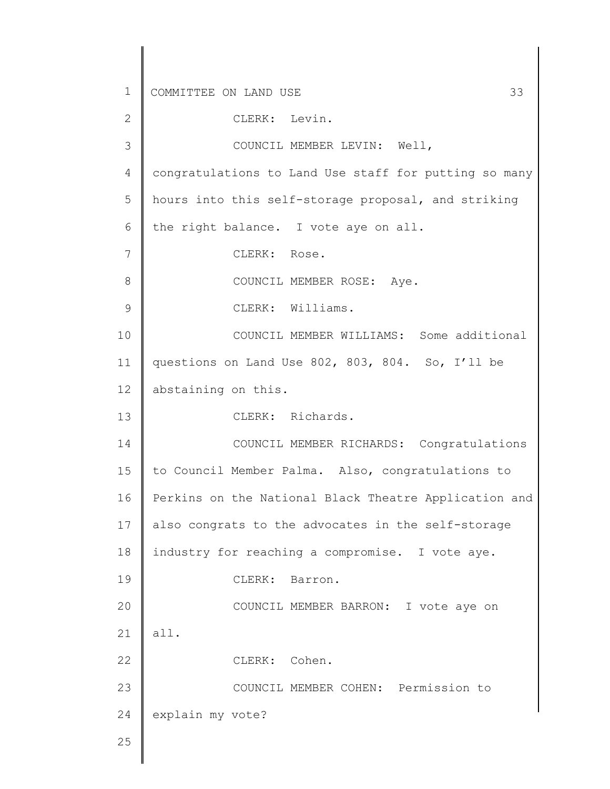1 2 3 4 5 6 7 8 9 10 11 12 13 14 15 16 17 18 19 20 21 22 23 24 25 COMMITTEE ON LAND USE 33 CLERK: Levin. COUNCIL MEMBER LEVIN: Well, congratulations to Land Use staff for putting so many hours into this self-storage proposal, and striking the right balance. I vote aye on all. CLERK: Rose. COUNCIL MEMBER ROSE: Aye. CLERK: Williams. COUNCIL MEMBER WILLIAMS: Some additional questions on Land Use 802, 803, 804. So, I'll be abstaining on this. CLERK: Richards. COUNCIL MEMBER RICHARDS: Congratulations to Council Member Palma. Also, congratulations to Perkins on the National Black Theatre Application and also congrats to the advocates in the self-storage industry for reaching a compromise. I vote aye. CLERK: Barron. COUNCIL MEMBER BARRON: I vote aye on all. CLERK: Cohen. COUNCIL MEMBER COHEN: Permission to explain my vote?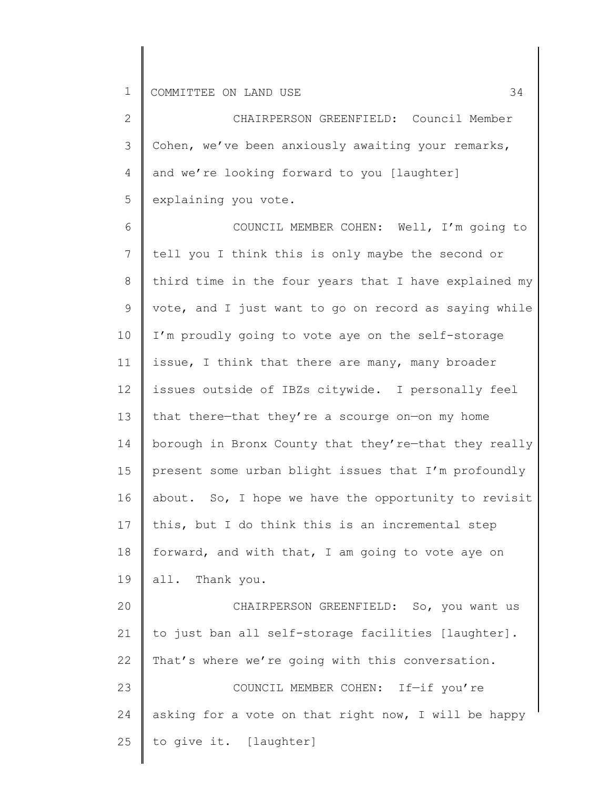25

to give it. [laughter]

2 3 4 5 CHAIRPERSON GREENFIELD: Council Member Cohen, we've been anxiously awaiting your remarks, and we're looking forward to you [laughter] explaining you vote.

6 7 8 9 10 11 12 13 14 15 16 17 18 19 20 21 22 23 24 COUNCIL MEMBER COHEN: Well, I'm going to tell you I think this is only maybe the second or third time in the four years that I have explained my vote, and I just want to go on record as saying while I'm proudly going to vote aye on the self-storage issue, I think that there are many, many broader issues outside of IBZs citywide. I personally feel that there—that they're a scourge on—on my home borough in Bronx County that they're—that they really present some urban blight issues that I'm profoundly about. So, I hope we have the opportunity to revisit this, but I do think this is an incremental step forward, and with that, I am going to vote aye on all. Thank you. CHAIRPERSON GREENFIELD: So, you want us to just ban all self-storage facilities [laughter]. That's where we're going with this conversation. COUNCIL MEMBER COHEN: If—if you're asking for a vote on that right now, I will be happy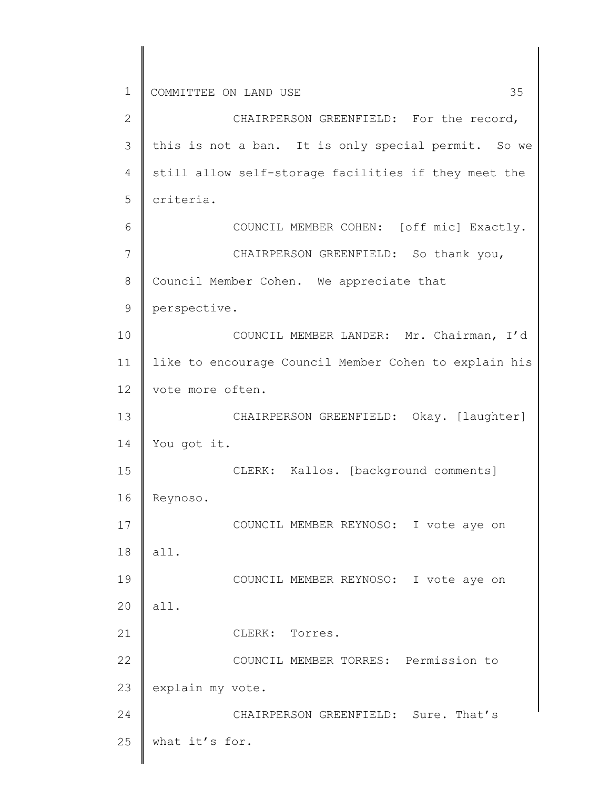1 2 3 4 5 6 7 8 9 10 11 12 13 14 15 16 17 18 19 20 21 22 23 24 25 COMMITTEE ON LAND USE 35 CHAIRPERSON GREENFIELD: For the record, this is not a ban. It is only special permit. So we still allow self-storage facilities if they meet the criteria. COUNCIL MEMBER COHEN: [off mic] Exactly. CHAIRPERSON GREENFIELD: So thank you, Council Member Cohen. We appreciate that perspective. COUNCIL MEMBER LANDER: Mr. Chairman, I'd like to encourage Council Member Cohen to explain his vote more often. CHAIRPERSON GREENFIELD: Okay. [laughter] You got it. CLERK: Kallos. [background comments] Reynoso. COUNCIL MEMBER REYNOSO: I vote aye on all. COUNCIL MEMBER REYNOSO: I vote aye on all. CLERK: Torres. COUNCIL MEMBER TORRES: Permission to explain my vote. CHAIRPERSON GREENFIELD: Sure. That's what it's for.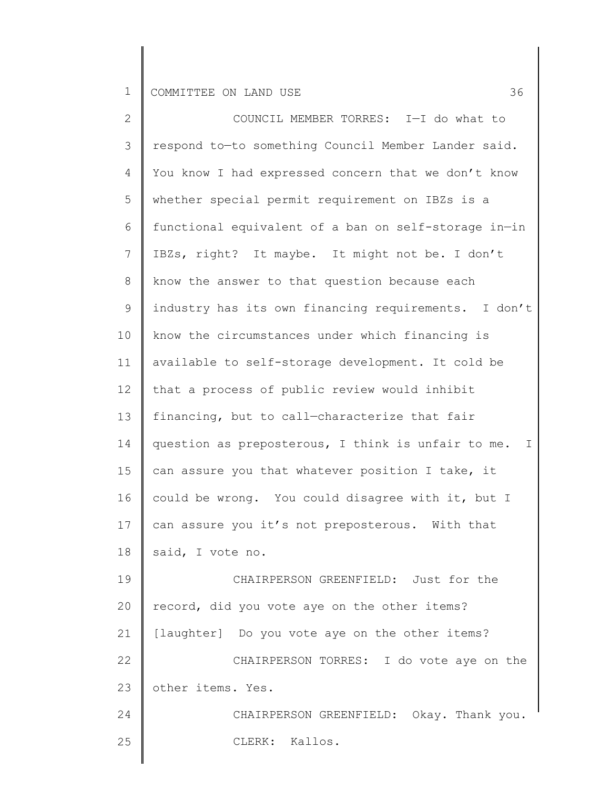| $\overline{2}$ | COUNCIL MEMBER TORRES: I-I do what to                   |
|----------------|---------------------------------------------------------|
| 3              | respond to-to something Council Member Lander said.     |
| 4              | You know I had expressed concern that we don't know     |
| 5              | whether special permit requirement on IBZs is a         |
| 6              | functional equivalent of a ban on self-storage in-in    |
| 7              | IBZs, right? It maybe. It might not be. I don't         |
| 8              | know the answer to that question because each           |
| 9              | industry has its own financing requirements. I don't    |
| 10             | know the circumstances under which financing is         |
| 11             | available to self-storage development. It cold be       |
| 12             | that a process of public review would inhibit           |
| 13             | financing, but to call-characterize that fair           |
| 14             | question as preposterous, I think is unfair to me.<br>I |
| 15             | can assure you that whatever position I take, it        |
| 16             | could be wrong. You could disagree with it, but I       |
| 17             | can assure you it's not preposterous. With that         |
| 18             | said, I vote no.                                        |
| 19             | CHAIRPERSON GREENFIELD: Just for the                    |
| 20             | record, did you vote aye on the other items?            |
| 21             | [laughter] Do you vote aye on the other items?          |
| 22             | CHAIRPERSON TORRES: I do vote aye on the                |
| 23             | other items. Yes.                                       |
| 24             | CHAIRPERSON GREENFIELD: Okay. Thank you.                |
| 25             | CLERK: Kallos.                                          |
|                |                                                         |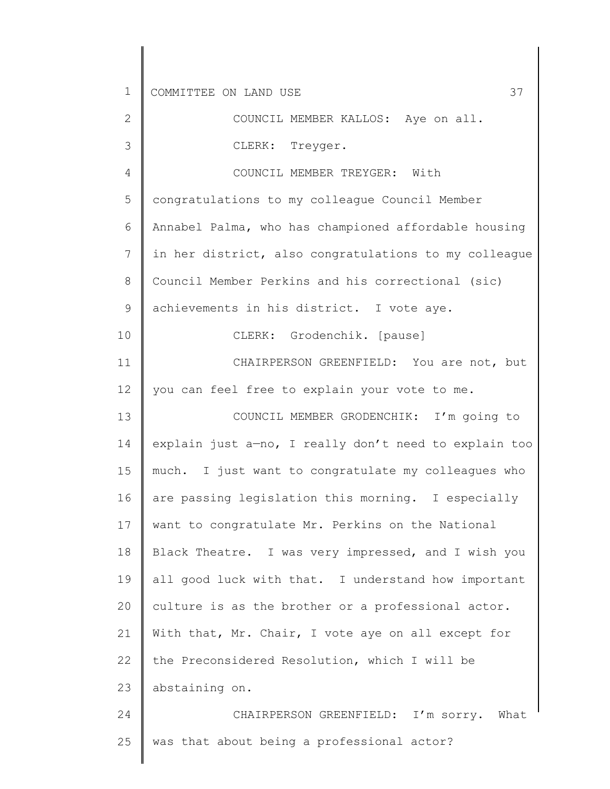2 3 4 5 6 7 8 9 10 11 12 13 14 15 16 17 18 19 20 21 22 23 24 COUNCIL MEMBER KALLOS: Aye on all. CLERK: Treyger. COUNCIL MEMBER TREYGER: With congratulations to my colleague Council Member Annabel Palma, who has championed affordable housing in her district, also congratulations to my colleague Council Member Perkins and his correctional (sic) achievements in his district. I vote aye. CLERK: Grodenchik. [pause] CHAIRPERSON GREENFIELD: You are not, but you can feel free to explain your vote to me. COUNCIL MEMBER GRODENCHIK: I'm going to explain just a—no, I really don't need to explain too much. I just want to congratulate my colleagues who are passing legislation this morning. I especially want to congratulate Mr. Perkins on the National Black Theatre. I was very impressed, and I wish you all good luck with that. I understand how important culture is as the brother or a professional actor. With that, Mr. Chair, I vote aye on all except for the Preconsidered Resolution, which I will be abstaining on. CHAIRPERSON GREENFIELD: I'm sorry. What

25

was that about being a professional actor?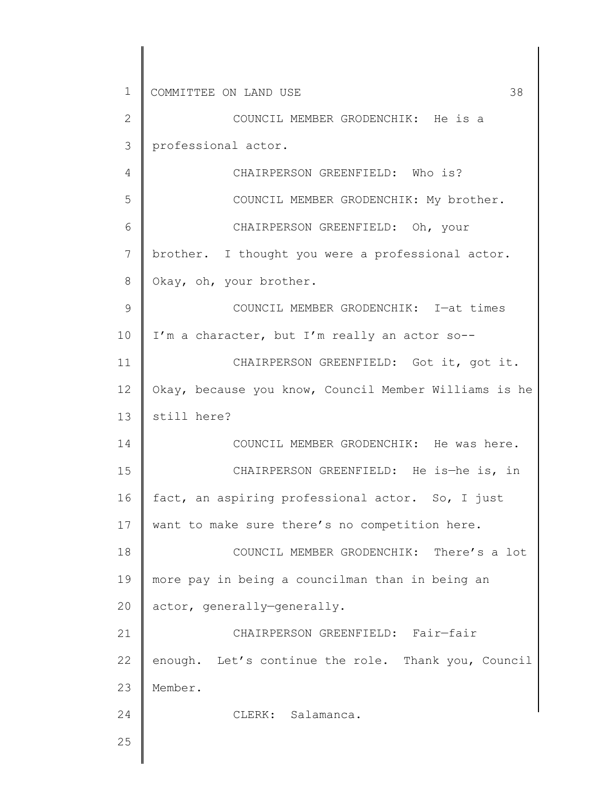1 2 3 4 5 6 7 8 9 10 11 12 13 14 15 16 17 18 19 20 21 22 23 24 25 COMMITTEE ON LAND USE 38 COUNCIL MEMBER GRODENCHIK: He is a professional actor. CHAIRPERSON GREENFIELD: Who is? COUNCIL MEMBER GRODENCHIK: My brother. CHAIRPERSON GREENFIELD: Oh, your brother. I thought you were a professional actor. Okay, oh, your brother. COUNCIL MEMBER GRODENCHIK: I—at times I'm a character, but I'm really an actor so-- CHAIRPERSON GREENFIELD: Got it, got it. Okay, because you know, Council Member Williams is he still here? COUNCIL MEMBER GRODENCHIK: He was here. CHAIRPERSON GREENFIELD: He is—he is, in fact, an aspiring professional actor. So, I just want to make sure there's no competition here. COUNCIL MEMBER GRODENCHIK: There's a lot more pay in being a councilman than in being an actor, generally—generally. CHAIRPERSON GREENFIELD: Fair—fair enough. Let's continue the role. Thank you, Council Member. CLERK: Salamanca.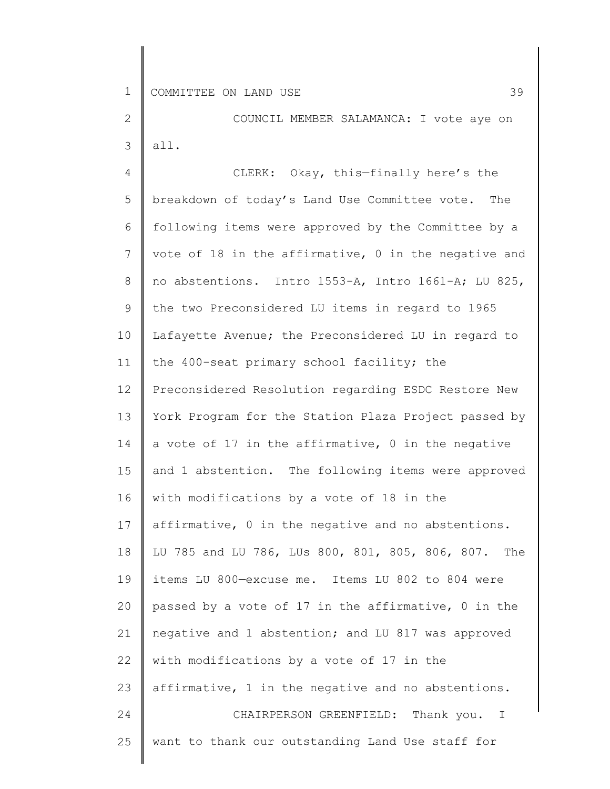2 3 COUNCIL MEMBER SALAMANCA: I vote aye on all.

4 5 6 7 8 9 10 11 12 13 14 15 16 17 18 19 20 21 22 23 24 25 CLERK: Okay, this—finally here's the breakdown of today's Land Use Committee vote. The following items were approved by the Committee by a vote of 18 in the affirmative, 0 in the negative and no abstentions. Intro 1553-A, Intro 1661-A; LU 825, the two Preconsidered LU items in regard to 1965 Lafayette Avenue; the Preconsidered LU in regard to the 400-seat primary school facility; the Preconsidered Resolution regarding ESDC Restore New York Program for the Station Plaza Project passed by a vote of 17 in the affirmative, 0 in the negative and 1 abstention. The following items were approved with modifications by a vote of 18 in the affirmative, 0 in the negative and no abstentions. LU 785 and LU 786, LUs 800, 801, 805, 806, 807. The items LU 800—excuse me. Items LU 802 to 804 were passed by a vote of 17 in the affirmative, 0 in the negative and 1 abstention; and LU 817 was approved with modifications by a vote of 17 in the affirmative, 1 in the negative and no abstentions. CHAIRPERSON GREENFIELD: Thank you. I want to thank our outstanding Land Use staff for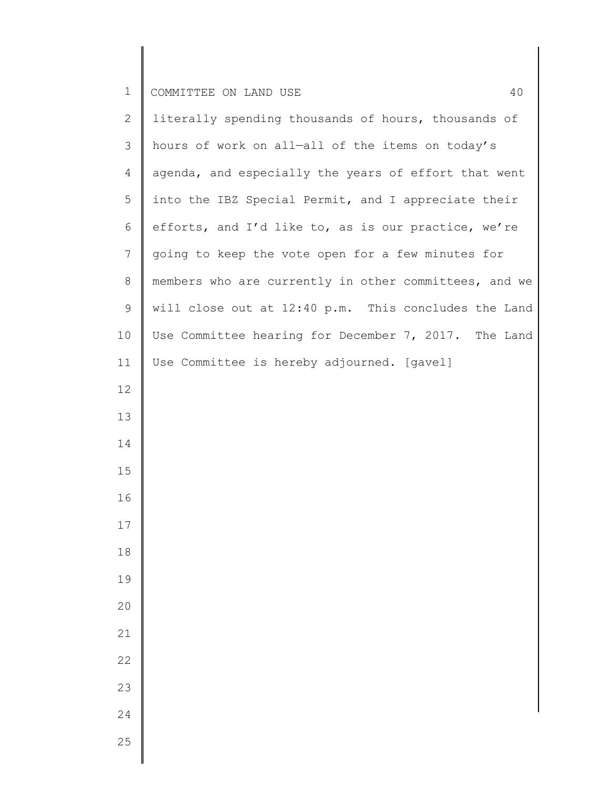| $\overline{2}$ | literally spending thousands of hours, thousands of   |
|----------------|-------------------------------------------------------|
| $\mathcal{S}$  | hours of work on all-all of the items on today's      |
| 4              | agenda, and especially the years of effort that went  |
| 5              | into the IBZ Special Permit, and I appreciate their   |
| 6              | efforts, and I'd like to, as is our practice, we're   |
| $7\phantom{.}$ | going to keep the vote open for a few minutes for     |
| $8\,$          | members who are currently in other committees, and we |
| $\mathsf 9$    | will close out at 12:40 p.m. This concludes the Land  |
| 10             | Use Committee hearing for December 7, 2017. The Land  |
| 11             | Use Committee is hereby adjourned. [gavel]            |
| 12             |                                                       |
| 13             |                                                       |
| 14             |                                                       |
| 15             |                                                       |
| 16             |                                                       |
| 17             |                                                       |
| 18             |                                                       |
| 19             |                                                       |
| 20             |                                                       |
| 21             |                                                       |
| 22             |                                                       |
| 23             |                                                       |
| 24             |                                                       |
| 25             |                                                       |
|                |                                                       |